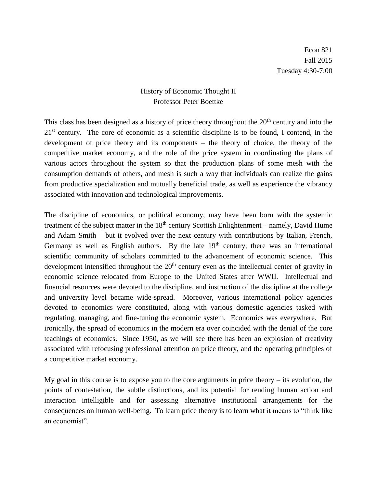## History of Economic Thought II Professor Peter Boettke

This class has been designed as a history of price theory throughout the  $20<sup>th</sup>$  century and into the  $21<sup>st</sup>$  century. The core of economic as a scientific discipline is to be found, I contend, in the development of price theory and its components – the theory of choice, the theory of the competitive market economy, and the role of the price system in coordinating the plans of various actors throughout the system so that the production plans of some mesh with the consumption demands of others, and mesh is such a way that individuals can realize the gains from productive specialization and mutually beneficial trade, as well as experience the vibrancy associated with innovation and technological improvements.

The discipline of economics, or political economy, may have been born with the systemic treatment of the subject matter in the  $18<sup>th</sup>$  century Scottish Enlightenment – namely, David Hume and Adam Smith – but it evolved over the next century with contributions by Italian, French, Germany as well as English authors. By the late  $19<sup>th</sup>$  century, there was an international scientific community of scholars committed to the advancement of economic science. This development intensified throughout the  $20<sup>th</sup>$  century even as the intellectual center of gravity in economic science relocated from Europe to the United States after WWII. Intellectual and financial resources were devoted to the discipline, and instruction of the discipline at the college and university level became wide-spread. Moreover, various international policy agencies devoted to economics were constituted, along with various domestic agencies tasked with regulating, managing, and fine-tuning the economic system. Economics was everywhere. But ironically, the spread of economics in the modern era over coincided with the denial of the core teachings of economics. Since 1950, as we will see there has been an explosion of creativity associated with refocusing professional attention on price theory, and the operating principles of a competitive market economy.

My goal in this course is to expose you to the core arguments in price theory  $-$  its evolution, the points of contestation, the subtle distinctions, and its potential for rending human action and interaction intelligible and for assessing alternative institutional arrangements for the consequences on human well-being. To learn price theory is to learn what it means to "think like an economist".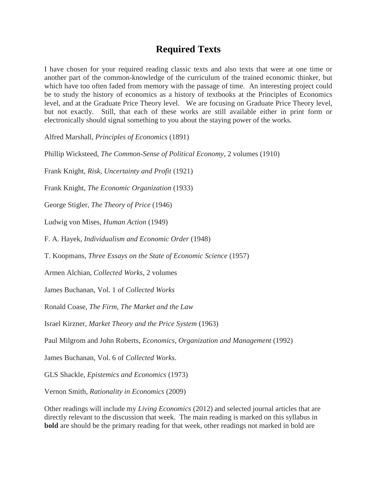## **Required Texts**

I have chosen for your required reading classic texts and also texts that were at one time or another part of the common-knowledge of the curriculum of the trained economic thinker, but which have too often faded from memory with the passage of time. An interesting project could be to study the history of economics as a history of textbooks at the Principles of Economics level, and at the Graduate Price Theory level. We are focusing on Graduate Price Theory level, but not exactly. Still, that each of these works are still available either in print form or electronically should signal something to you about the staying power of the works.

Alfred Marshall, *Principles of Economics* (1891)

Phillip Wicksteed, *The Common-Sense of Political Economy*, 2 volumes (1910)

Frank Knight, *Risk, Uncertainty and Profit* (1921)

Frank Knight, *The Economic Organization* (1933)

George Stigler, *The Theory of Price* (1946)

Ludwig von Mises, *Human Action* (1949)

F. A. Hayek, *Individualism and Economic Order* (1948)

T. Koopmans, *Three Essays on the State of Economic Science* (1957)

Armen Alchian, *Collected Works*, 2 volumes

James Buchanan, Vol. 1 of *Collected Works*

Ronald Coase, *The Firm, The Market and the Law*

Israel Kirzner, *Market Theory and the Price System* (1963)

Paul Milgrom and John Roberts, *Economics, Organization and Management* (1992)

James Buchanan, Vol. 6 of *Collected Works*.

GLS Shackle, *Epistemics and Economics* (1973)

Vernon Smith, *Rationality in Economics* (2009)

Other readings will include my *Living Economics* (2012) and selected journal articles that are directly relevant to the discussion that week. The main reading is marked on this syllabus in **bold** are should be the primary reading for that week, other readings not marked in bold are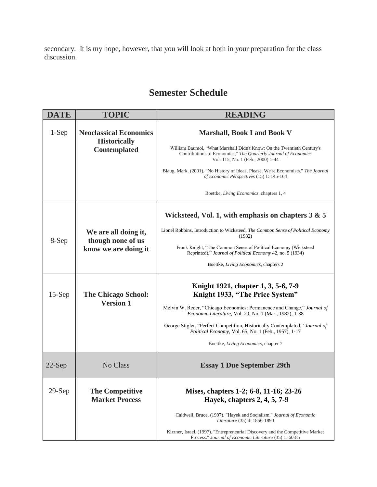secondary. It is my hope, however, that you will look at both in your preparation for the class discussion.

## **Semester Schedule**

| <b>DATE</b> | <b>TOPIC</b>                                         | <b>READING</b>                                                                                                                                                                 |
|-------------|------------------------------------------------------|--------------------------------------------------------------------------------------------------------------------------------------------------------------------------------|
| $1-Sep$     | <b>Neoclassical Economics</b><br><b>Historically</b> | <b>Marshall, Book I and Book V</b>                                                                                                                                             |
|             | Contemplated                                         | William Baumol, "What Marshall Didn't Know: On the Twentieth Century's<br>Contributions to Economics," The Quarterly Journal of Economics<br>Vol. 115, No. 1 (Feb., 2000) 1-44 |
|             |                                                      | Blaug, Mark. (2001). "No History of Ideas, Please, We're Economists." The Journal<br>of Economic Perspectives (15) 1: 145-164                                                  |
|             |                                                      | Boettke, Living Economics, chapters 1, 4                                                                                                                                       |
|             |                                                      | Wicksteed, Vol. 1, with emphasis on chapters $3 & 5$                                                                                                                           |
| 8-Sep       | We are all doing it,<br>though none of us            | Lionel Robbins, Introduction to Wicksteed, The Common Sense of Political Economy<br>(1932)                                                                                     |
|             | know we are doing it                                 | Frank Knight, "The Common Sense of Political Economy (Wicksteed<br>Reprinted)," Journal of Political Economy 42, no. 5 (1934)                                                  |
|             |                                                      | Boettke, Living Economics, chapters 2                                                                                                                                          |
| $15-Sep$    | <b>The Chicago School:</b>                           | Knight 1921, chapter 1, 3, 5-6, 7-9<br>Knight 1933, "The Price System"                                                                                                         |
|             | <b>Version 1</b>                                     | Melvin W. Reder, "Chicago Economics: Permanence and Change," Journal of<br>Economic Literature, Vol. 20, No. 1 (Mar., 1982), 1-38                                              |
|             |                                                      | George Stigler, "Perfect Competition, Historically Contemplated," Journal of<br>Political Economy, Vol. 65, No. 1 (Feb., 1957), 1-17                                           |
|             |                                                      | Boettke, Living Economics, chapter 7                                                                                                                                           |
| $22$ -Sep   | No Class                                             | <b>Essay 1 Due September 29th</b>                                                                                                                                              |
| $29-Sep$    | <b>The Competitive</b><br><b>Market Process</b>      | Mises, chapters 1-2; 6-8, 11-16; 23-26<br>Hayek, chapters 2, 4, 5, 7-9                                                                                                         |
|             |                                                      | Caldwell, Bruce. (1997). "Hayek and Socialism." Journal of Economic<br><i>Literature</i> (35) 4: 1856-1890                                                                     |
|             |                                                      | Kirzner, Israel. (1997). "Entrepreneurial Discovery and the Competitive Market<br>Process." Journal of Economic Literature (35) 1: 60-85                                       |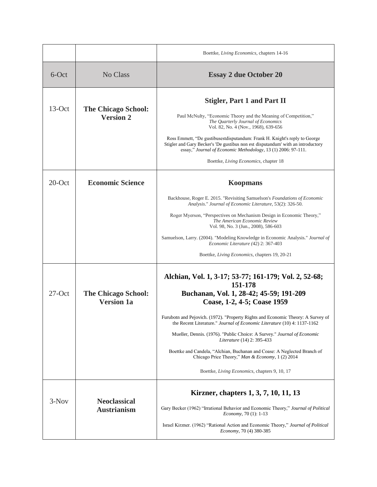|           |                                                 | Boettke, Living Economics, chapters 14-16                                                                                                                                                                                       |
|-----------|-------------------------------------------------|---------------------------------------------------------------------------------------------------------------------------------------------------------------------------------------------------------------------------------|
| 6-Oct     | No Class                                        | <b>Essay 2 due October 20</b>                                                                                                                                                                                                   |
| $13-Oct$  | <b>The Chicago School:</b><br><b>Version 2</b>  | <b>Stigler, Part 1 and Part II</b>                                                                                                                                                                                              |
|           |                                                 | Paul McNulty, "Economic Theory and the Meaning of Competition,"<br>The Quarterly Journal of Economics<br>Vol. 82, No. 4 (Nov., 1968), 639-656                                                                                   |
|           |                                                 | Ross Emmett, "De gustibusestdisputandum: Frank H. Knight's reply to George<br>Stigler and Gary Becker's 'De gustibus non est disputandum' with an introductory<br>essay," Journal of Economic Methodology, 13 (1) 2006: 97-111. |
|           |                                                 | Boettke, Living Economics, chapter 18                                                                                                                                                                                           |
| $20$ -Oct | <b>Economic Science</b>                         | <b>Koopmans</b>                                                                                                                                                                                                                 |
|           |                                                 | Backhouse, Roger E. 2015. "Revisiting Samuelson's Foundations of Economic<br>Analysis." Journal of Economic Literature, 53(2): 326-50.                                                                                          |
|           |                                                 | Roger Myerson, "Perspectives on Mechanism Design in Economic Theory,"<br>The American Economic Review<br>Vol. 98, No. 3 (Jun., 2008), 586-603                                                                                   |
|           |                                                 | Samuelson, Larry. (2004). "Modeling Knowledge in Economic Analysis." <i>Journal of</i><br>Economic Literature (42) 2: 367-403                                                                                                   |
|           |                                                 | Boettke, <i>Living Economics</i> , chapters 19, 20-21                                                                                                                                                                           |
|           |                                                 | Alchian, Vol. 1, 3-17; 53-77; 161-179; Vol. 2, 52-68;<br>151-178                                                                                                                                                                |
| $27$ -Oct | <b>The Chicago School:</b><br><b>Version 1a</b> | Buchanan, Vol. 1, 28-42; 45-59; 191-209<br>Coase, 1-2, 4-5; Coase 1959                                                                                                                                                          |
|           |                                                 | Furubotn and Pejovich. (1972). "Property Rights and Economic Theory: A Survey of<br>the Recent Literature." Journal of Economic Literature (10) 4: 1137-1162                                                                    |
|           |                                                 | Mueller, Dennis. (1976). "Public Choice: A Survey." <i>Journal of Economic</i><br><i>Literature</i> (14) 2: 395-433                                                                                                             |
|           |                                                 | Boettke and Candela, "Alchian, Buchanan and Coase: A Neglected Branch of<br>Chicago Price Theory," Man & Economy, 1 (2) 2014                                                                                                    |
|           |                                                 | Boettke, Living Economics, chapters 9, 10, 17                                                                                                                                                                                   |
|           |                                                 | Kirzner, chapters 1, 3, 7, 10, 11, 13                                                                                                                                                                                           |
| $3-Nov$   | <b>Neoclassical</b><br><b>Austrianism</b>       | Gary Becker (1962) "Irrational Behavior and Economic Theory," Journal of Political<br><i>Economy</i> , 70 (1): 1-13                                                                                                             |
|           |                                                 | Israel Kirzner. (1962) "Rational Action and Economic Theory," Journal of Political<br><i>Economy</i> , 70 (4) 380-385                                                                                                           |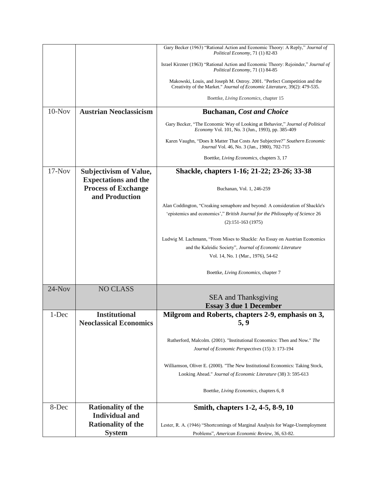|          |                                                              | Gary Becker (1963) "Rational Action and Economic Theory: A Reply," Journal of                                                                           |
|----------|--------------------------------------------------------------|---------------------------------------------------------------------------------------------------------------------------------------------------------|
|          |                                                              | Political Economy, 71 (1) 82-83                                                                                                                         |
|          |                                                              | Israel Kirzner (1963) "Rational Action and Economic Theory: Rejoinder," Journal of<br>Political Economy, 71 (1) 84-85                                   |
|          |                                                              | Makowski, Louis, and Joseph M. Ostroy. 2001. "Perfect Competition and the<br>Creativity of the Market." Journal of Economic Literature, 39(2): 479-535. |
|          |                                                              | Boettke, Living Economics, chapter 15                                                                                                                   |
| $10-Nov$ | <b>Austrian Neoclassicism</b>                                | <b>Buchanan, Cost and Choice</b>                                                                                                                        |
|          |                                                              | Gary Becker, "The Economic Way of Looking at Behavior," Journal of Political<br><i>Economy</i> Vol. 101, No. 3 (Jun., 1993), pp. 385-409                |
|          |                                                              | Karen Vaughn, "Does It Matter That Costs Are Subjective?" Southern Economic<br><i>Journal</i> Vol. 46, No. 3 (Jan., 1980), 702-715                      |
|          |                                                              | Boettke, Living Economics, chapters 3, 17                                                                                                               |
| $17-Nov$ | <b>Subjectivism of Value,</b><br><b>Expectations and the</b> | Shackle, chapters 1-16; 21-22; 23-26; 33-38                                                                                                             |
|          | <b>Process of Exchange</b><br>and Production                 | Buchanan, Vol. 1, 246-259                                                                                                                               |
|          |                                                              | Alan Coddington, "Creaking semaphore and beyond: A consideration of Shackle's                                                                           |
|          |                                                              | 'epistemics and economics'," British Journal for the Philosophy of Science 26                                                                           |
|          |                                                              | $(2):151-163(1975)$                                                                                                                                     |
|          |                                                              |                                                                                                                                                         |
|          |                                                              | Ludwig M. Lachmann, "From Mises to Shackle: An Essay on Austrian Economics                                                                              |
|          |                                                              | and the Kaleidic Society", Journal of Economic Literature                                                                                               |
|          |                                                              | Vol. 14, No. 1 (Mar., 1976), 54-62                                                                                                                      |
|          |                                                              | Boettke, Living Economics, chapter 7                                                                                                                    |
| $24-Nov$ | <b>NO CLASS</b>                                              |                                                                                                                                                         |
|          |                                                              | <b>SEA</b> and Thanksgiving                                                                                                                             |
|          |                                                              | <b>Essay 3 due 1 December</b>                                                                                                                           |
| 1-Dec    | <b>Institutional</b><br><b>Neoclassical Economics</b>        | Milgrom and Roberts, chapters 2-9, emphasis on 3,<br>5, 9                                                                                               |
|          |                                                              | Rutherford, Malcolm. (2001). "Institutional Economics: Then and Now." The                                                                               |
|          |                                                              | Journal of Economic Perspectives (15) 3: 173-194                                                                                                        |
|          |                                                              | Williamson, Oliver E. (2000). "The New Institutional Economics: Taking Stock,                                                                           |
|          |                                                              | Looking Ahead." Journal of Economic Literature (38) 3: 595-613                                                                                          |
|          |                                                              | Boettke, Living Economics, chapters 6, 8                                                                                                                |
| 8-Dec    | <b>Rationality of the</b>                                    | Smith, chapters 1-2, 4-5, 8-9, 10                                                                                                                       |
|          | <b>Individual and</b>                                        |                                                                                                                                                         |
|          | <b>Rationality of the</b>                                    | Lester, R. A. (1946) "Shortcomings of Marginal Analysis for Wage-Unemployment                                                                           |
|          | <b>System</b>                                                | Problems", American Economic Review, 36, 63-82.                                                                                                         |